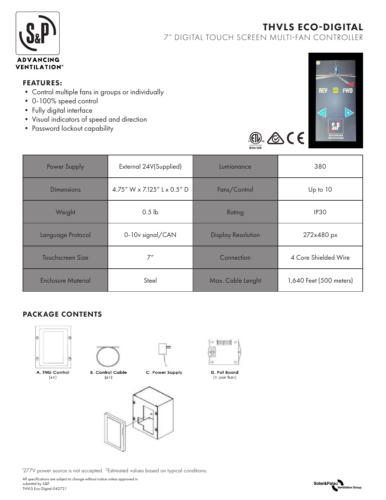

# THVLS ECO-DIGITAL

7" DIGITAL TOUCH SCREEN MULTI-FAN CONTROLLER

#### FEATURES:

- Control multiple fans in groups or individually
- 0-100% speed control
- Fully digital interface
- Visual indicators of speed and direction
- Password lockout capability



 $\underline{\circledcirc}$   $\otimes$  (E

| <b>Power Supply</b>     | External 24V(Supplied)      | Lumianance                | 380                     |
|-------------------------|-----------------------------|---------------------------|-------------------------|
|                         |                             |                           |                         |
| Dimensions              | 4.75" W x 7.125" L x 0.5" D | Fans/Control              | Up to 10                |
| Weight                  | 0.5 <sub>1b</sub>           | Rating                    | IP <sub>30</sub>        |
| Language Protocol       | 0-10v signal/CAN            | <b>Display Resolution</b> | 272x480 px              |
| <b>Touchscreen Size</b> | 7"                          | Connection                | 4 Core Shielded Wire    |
| Enclosure Material      | Steel                       | Max. Cable Lenght         | 1,640 Feet (500 meters) |

## PACKAGE CONTENTS



A. TNG Control  $(x1)$ 



C. Power Supply





 $\circ$   $\text{mm}$   $\circ$ 

<sup>1</sup>277V power source is not accepted. <sup>2</sup>Estimated values based on typical conditions.

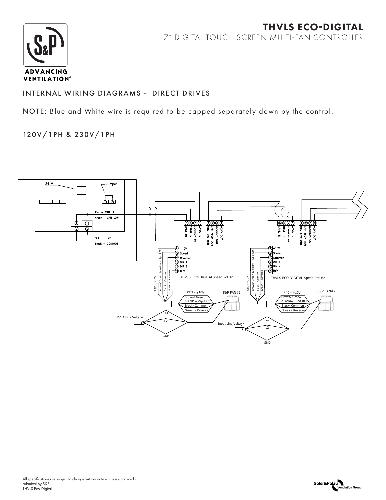

# THVLS ECO-DIGITAL 7" DIGITAL TOUCH SCREEN MULTI-FAN CONTROLLER

## INTERNAL WIRING DIAGRAMS - DIRECT DRIVES

NOTE: Blue and White wire is required to be capped separately down by the control.

## 120V/1PH & 230V/1PH